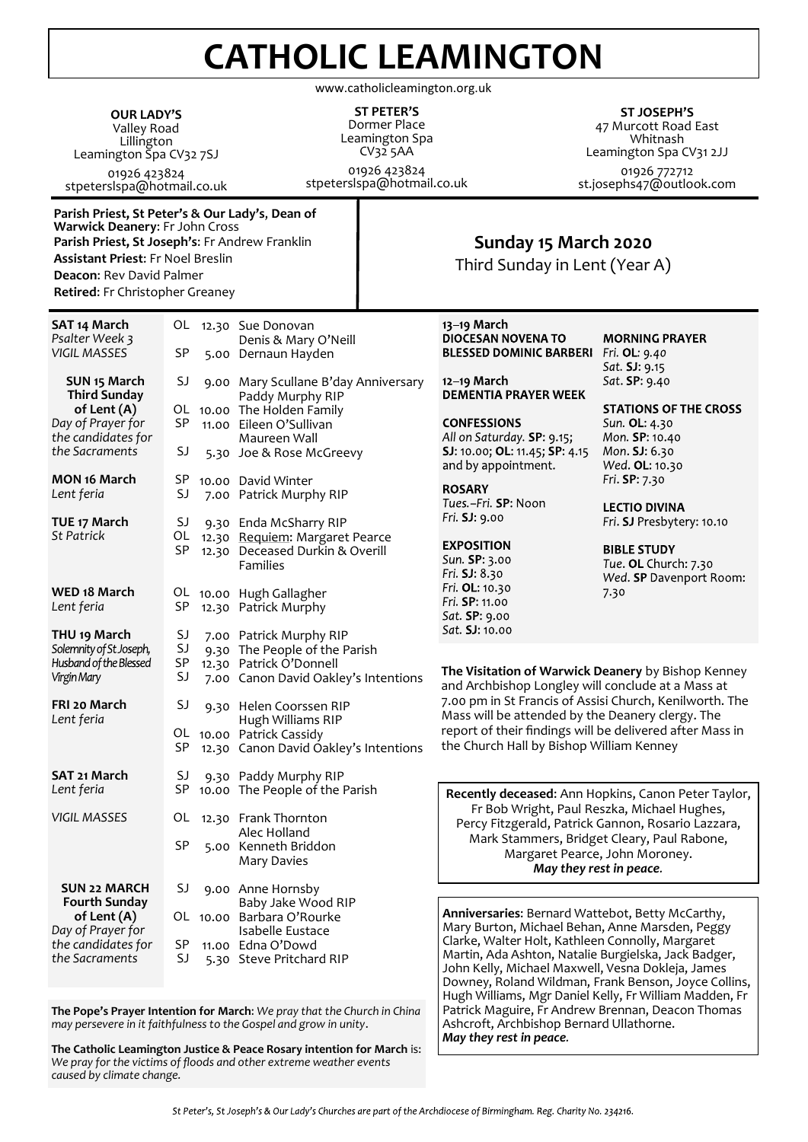## **CATHOLIC LEAMINGTON**

www.catholicleamington.org.uk

**OUR LADY'S** Valley Road Lillington Leamington Spa CV32 7SJ 01926 423824 stpeterslspa@hotmail.co.uk

**ST PETER'S** Dormer Place Leamington Spa CV32 5AA

01926 423824 stpeterslspa@hotmail.co.uk

**ST JOSEPH'S** 47 Murcott Road East Whitnash Leamington Spa CV31 2JJ 01926 772712 st.josephs47@outlook.com

**Parish Priest, St Peter's & Our Lady's**, **Dean of Warwick Deanery**: Fr John Cross **Parish Priest, St Joseph's**: Fr Andrew Franklin **Assistant Priest**: Fr Noel Breslin **Deacon**: Rev David Palmer **Retired**: Fr Christopher Greaney

## **Sunday 15 March 2020**

Third Sunday in Lent (Year A)

| SAT 14 March<br>Psalter Week 3<br><b>VIGIL MASSES</b>                                       | <b>SP</b>            | OL 12.30 Sue Donovan<br>Denis & Mary O'Neill<br>5.00 Dernaun Hayden                                                         | 13-19 March<br><b>DIOCESAN NOVENA TO</b><br><b>BLESSED DOMINIC BARBERI</b>                                                                                                                                                                                                                                                                       | <b>MORNING PRAYER</b><br>Fri. <b>OL</b> : 9.40<br>Sat. SJ: 9.15       |
|---------------------------------------------------------------------------------------------|----------------------|-----------------------------------------------------------------------------------------------------------------------------|--------------------------------------------------------------------------------------------------------------------------------------------------------------------------------------------------------------------------------------------------------------------------------------------------------------------------------------------------|-----------------------------------------------------------------------|
| SUN 15 March<br><b>Third Sunday</b><br>of Lent (A)                                          | SJ                   | 9.00 Mary Scullane B'day Anniversary<br>Paddy Murphy RIP<br>OL 10.00 The Holden Family                                      | 12-19 March<br><b>DEMENTIA PRAYER WEEK</b>                                                                                                                                                                                                                                                                                                       | Sat. SP: 9.40<br><b>STATIONS OF THE CROSS</b>                         |
| Day of Prayer for<br>the candidates for<br>the Sacraments                                   | <b>SP</b><br>SJ      | 11.00 Eileen O'Sullivan<br>Maureen Wall<br>5.30 Joe & Rose McGreevy                                                         | <b>CONFESSIONS</b><br>All on Saturday. SP: 9.15;<br>SJ: 10.00; OL: 11.45; SP: 4.15                                                                                                                                                                                                                                                               | Sun. OL: 4.30<br>Mon. SP: 10.40<br>Mon. SJ: 6.30                      |
| <b>MON 16 March</b>                                                                         | SP                   | 10.00 David Winter                                                                                                          | and by appointment.<br><b>ROSARY</b>                                                                                                                                                                                                                                                                                                             | Wed. OL: 10.30<br>Fri. SP: 7.30                                       |
| Lent feria<br>TUE 17 March                                                                  | SJ<br>SJ             | 7.00 Patrick Murphy RIP<br>9.30 Enda McSharry RIP                                                                           | Tues.-Fri. SP: Noon<br>Fri. SJ: 9.00                                                                                                                                                                                                                                                                                                             | <b>LECTIO DIVINA</b><br>Fri. SJ Presbytery: 10.10                     |
| <b>St Patrick</b>                                                                           | OL<br>SP             | 12.30 Requiem: Margaret Pearce<br>12.30 Deceased Durkin & Overill<br><b>Families</b>                                        | <b>EXPOSITION</b><br>Sun. SP: 3.00<br>Fri. SJ: 8.30                                                                                                                                                                                                                                                                                              | <b>BIBLE STUDY</b><br>Tue. OL Church: 7.30<br>Wed. SP Davenport Room: |
| WED 18 March<br>Lent feria                                                                  | SP                   | OL 10.00 Hugh Gallagher<br>12.30 Patrick Murphy                                                                             | Fri. OL: 10.30<br>Fri. SP: 11.00<br>Sat. SP: 9.00                                                                                                                                                                                                                                                                                                | 7.30                                                                  |
| THU <sub>19</sub> March<br>Solemnity of St Joseph,<br>Husband of the Blessed<br>Virgin Mary | SJ<br>SJ<br>SP<br>SJ | 7.00 Patrick Murphy RIP<br>9.30 The People of the Parish<br>12.30 Patrick O'Donnell<br>7.00 Canon David Oakley's Intentions | Sat. SJ: 10.00<br>The Visitation of Warwick Deanery by Bishop Kenney<br>and Archbishop Longley will conclude at a Mass at<br>7.00 pm in St Francis of Assisi Church, Kenilworth. The<br>Mass will be attended by the Deanery clergy. The<br>report of their findings will be delivered after Mass in<br>the Church Hall by Bishop William Kenney |                                                                       |
| FRI 20 March<br>Lent feria                                                                  | SJ<br>SP             | 9.30 Helen Coorssen RIP<br>Hugh Williams RIP<br>OL 10.00 Patrick Cassidy<br>12.30 Canon David Oakley's Intentions           |                                                                                                                                                                                                                                                                                                                                                  |                                                                       |
| SAT 21 March<br>Lent feria                                                                  | SJ<br>SP             | 9.30 Paddy Murphy RIP<br>10.00 The People of the Parish                                                                     |                                                                                                                                                                                                                                                                                                                                                  |                                                                       |
| <b>VIGIL MASSES</b>                                                                         | OL<br>SP             | 12.30 Frank Thornton<br>Alec Holland<br>5.00 Kenneth Briddon<br><b>Mary Davies</b>                                          | Recently deceased: Ann Hopkins, Canon Peter Taylor,<br>Fr Bob Wright, Paul Reszka, Michael Hughes,<br>Percy Fitzgerald, Patrick Gannon, Rosario Lazzara,<br>Mark Stammers, Bridget Cleary, Paul Rabone,<br>Margaret Pearce, John Moroney.<br>May they rest in peace.                                                                             |                                                                       |
| <b>SUN 22 MARCH</b>                                                                         | SJ                   | 9.00 Anne Hornsby                                                                                                           |                                                                                                                                                                                                                                                                                                                                                  |                                                                       |
| <b>Fourth Sunday</b><br>of Lent (A)<br>Day of Prayer for<br>the candidates for              | SP                   | Baby Jake Wood RIP<br>OL 10.00 Barbara O'Rourke<br>Isabelle Eustace<br>11.00 Edna O'Dowd                                    | Anniversaries: Bernard Wattebot, Betty McCarthy,<br>Mary Burton, Michael Behan, Anne Marsden, Peggy<br>Clarke, Walter Holt, Kathleen Connolly, Margaret                                                                                                                                                                                          |                                                                       |
| the Sacraments                                                                              | SJ                   | 5.30 Steve Pritchard RIP                                                                                                    | Martin, Ada Ashton, Natalie Burgielska, Jack Badger,<br>John Kelly, Michael Maxwell, Vesna Dokleja, James<br>Downey, Roland Wildman, Frank Benson, Joyce Collins,                                                                                                                                                                                |                                                                       |

**The Pope's Prayer Intention for March**: *We pray that the Church in China may persevere in it faithfulness to the Gospel and grow in unity*.

**The Catholic Leamington Justice & Peace Rosary intention for March** is: *We pray for the victims of floods and other extreme weather events caused by climate change.*

*May they rest in peace.*

Hugh Williams, Mgr Daniel Kelly, Fr William Madden, Fr Patrick Maguire, Fr Andrew Brennan, Deacon Thomas

Ashcroft, Archbishop Bernard Ullathorne.